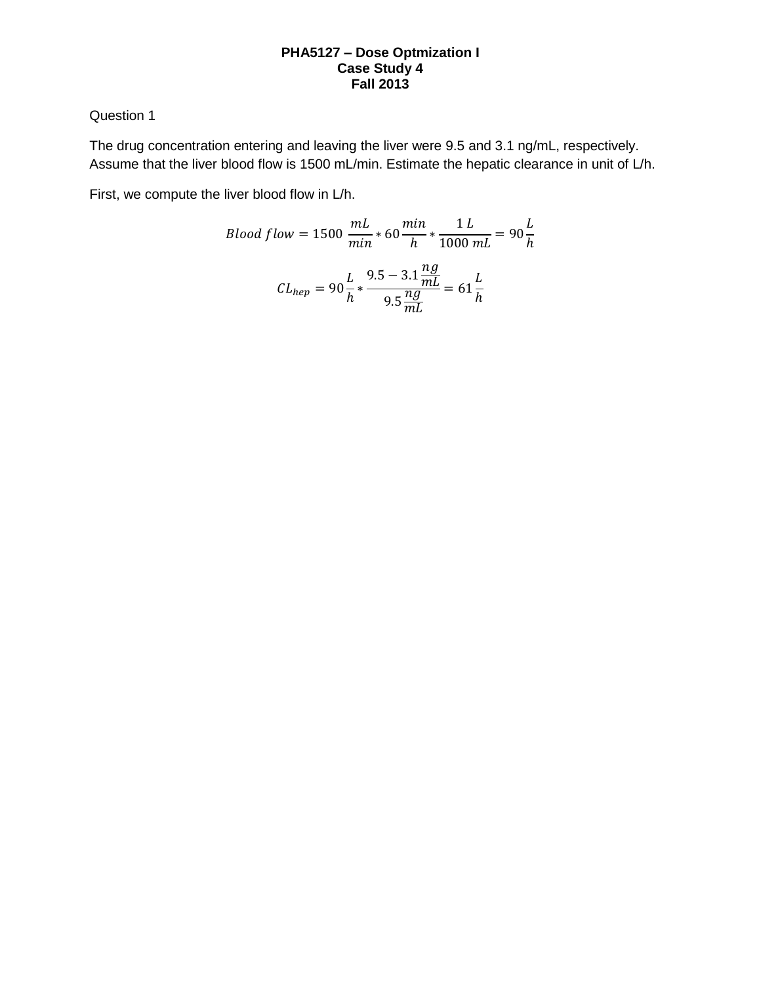## **PHA5127 – Dose Optmization I Case Study 4 Fall 2013**

# Question 1

The drug concentration entering and leaving the liver were 9.5 and 3.1 ng/mL, respectively. Assume that the liver blood flow is 1500 mL/min. Estimate the hepatic clearance in unit of L/h.

First, we compute the liver blood flow in L/h.

Blood flow = 1500

\n
$$
\frac{mL}{min} \times 60 \frac{min}{h} \times \frac{1 L}{1000 mL} = 90 \frac{L}{h}
$$
\n
$$
CL_{hep} = 90 \frac{L}{h} \times \frac{9.5 - 3.1 \frac{ng}{mL}}{9.5 \frac{ng}{mL}} = 61 \frac{L}{h}
$$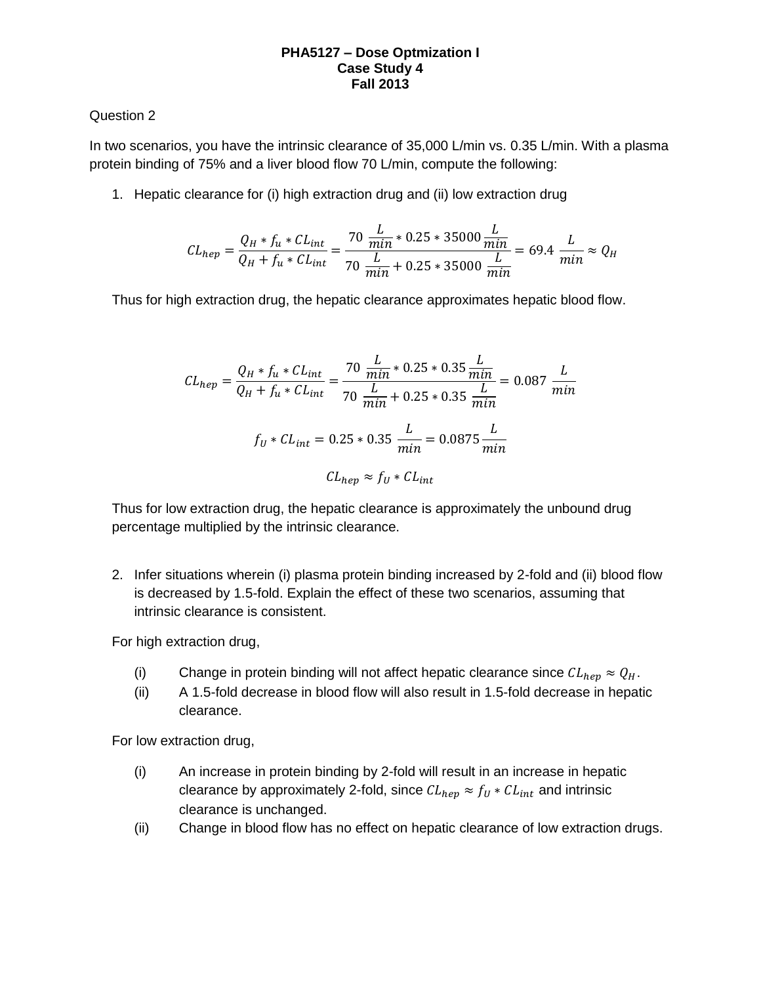#### **PHA5127 – Dose Optmization I Case Study 4 Fall 2013**

## Question 2

In two scenarios, you have the intrinsic clearance of 35,000 L/min vs. 0.35 L/min. With a plasma protein binding of 75% and a liver blood flow 70 L/min, compute the following:

1. Hepatic clearance for (i) high extraction drug and (ii) low extraction drug

$$
CL_{hep} = \frac{Q_H * f_u * CL_{int}}{Q_H + f_u * CL_{int}} = \frac{70 \frac{L}{min} * 0.25 * 35000 \frac{L}{min}}{70 \frac{L}{min} + 0.25 * 35000 \frac{L}{min}} = 69.4 \frac{L}{min} \approx Q_H
$$

Thus for high extraction drug, the hepatic clearance approximates hepatic blood flow.

$$
CL_{hep} = \frac{Q_H * f_u * CL_{int}}{Q_H + f_u * CL_{int}} = \frac{70 \frac{L}{min} * 0.25 * 0.35 \frac{L}{min}}{70 \frac{L}{min} + 0.25 * 0.35 \frac{L}{min}} = 0.087 \frac{L}{min}
$$

$$
f_U * CL_{int} = 0.25 * 0.35 \frac{L}{min} = 0.0875 \frac{L}{min}
$$

$$
CL_{hep} \approx f_U * CL_{int}
$$

Thus for low extraction drug, the hepatic clearance is approximately the unbound drug percentage multiplied by the intrinsic clearance.

2. Infer situations wherein (i) plasma protein binding increased by 2-fold and (ii) blood flow is decreased by 1.5-fold. Explain the effect of these two scenarios, assuming that intrinsic clearance is consistent.

For high extraction drug,

- (i) Change in protein binding will not affect hepatic clearance since  $CL_{hev} \approx Q_H$ .
- (ii) A 1.5-fold decrease in blood flow will also result in 1.5-fold decrease in hepatic clearance.

For low extraction drug,

- (i) An increase in protein binding by 2-fold will result in an increase in hepatic clearance by approximately 2-fold, since  $CL_{hep} \approx f_U * CL_{int}$  and intrinsic clearance is unchanged.
- (ii) Change in blood flow has no effect on hepatic clearance of low extraction drugs.